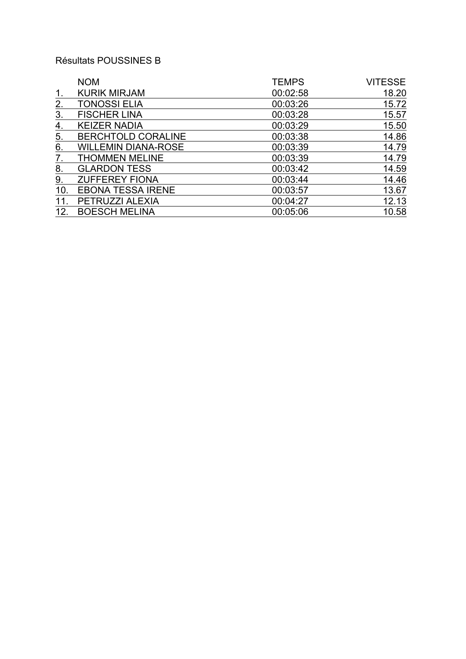# Résultats POUSSINES B

|     | <b>NOM</b>                 | <b>TEMPS</b> | <b>VITESSE</b> |
|-----|----------------------------|--------------|----------------|
| 1.  | <b>KURIK MIRJAM</b>        | 00:02:58     | 18.20          |
| 2.  | <b>TONOSSI ELIA</b>        | 00:03:26     | 15.72          |
| 3.  | <b>FISCHER LINA</b>        | 00:03:28     | 15.57          |
| 4.  | <b>KEIZER NADIA</b>        | 00:03:29     | 15.50          |
| 5.  | <b>BERCHTOLD CORALINE</b>  | 00:03:38     | 14.86          |
| 6.  | <b>WILLEMIN DIANA-ROSE</b> | 00:03:39     | 14.79          |
| 7.  | <b>THOMMEN MELINE</b>      | 00:03:39     | 14.79          |
| 8.  | <b>GLARDON TESS</b>        | 00:03:42     | 14.59          |
| 9.  | <b>ZUFFEREY FIONA</b>      | 00:03:44     | 14.46          |
| 10. | <b>EBONA TESSA IRENE</b>   | 00:03:57     | 13.67          |
| 11. | PETRUZZI ALEXIA            | 00:04:27     | 12.13          |
| 12. | <b>BOESCH MELINA</b>       | 00:05:06     | 10.58          |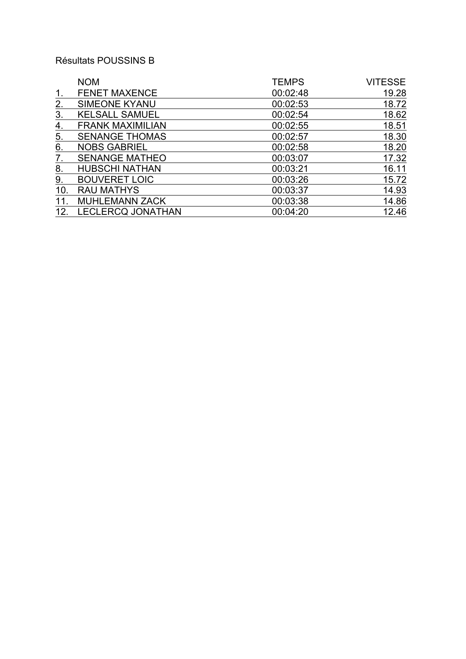# Résultats POUSSINS B

|     | <b>NOM</b>               | <b>TEMPS</b> | <b>VITESSE</b> |
|-----|--------------------------|--------------|----------------|
| 1.  | <b>FENET MAXENCE</b>     | 00:02:48     | 19.28          |
| 2.  | <b>SIMEONE KYANU</b>     | 00:02:53     | 18.72          |
| 3.  | <b>KELSALL SAMUEL</b>    | 00:02:54     | 18.62          |
| 4.  | <b>FRANK MAXIMILIAN</b>  | 00:02:55     | 18.51          |
| 5.  | <b>SENANGE THOMAS</b>    | 00:02:57     | 18.30          |
| 6.  | <b>NOBS GABRIEL</b>      | 00:02:58     | 18.20          |
| 7.  | <b>SENANGE MATHEO</b>    | 00:03:07     | 17.32          |
| 8.  | <b>HUBSCHI NATHAN</b>    | 00:03:21     | 16.11          |
| 9.  | <b>BOUVERET LOIC</b>     | 00:03:26     | 15.72          |
| 10. | <b>RAU MATHYS</b>        | 00:03:37     | 14.93          |
| 11. | <b>MUHLEMANN ZACK</b>    | 00:03:38     | 14.86          |
| 12. | <b>LECLERCQ JONATHAN</b> | 00:04:20     | 12.46          |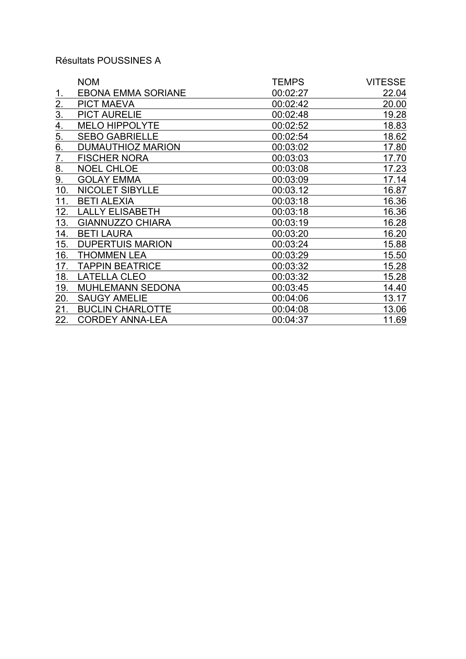## Résultats POUSSINES A

|                  | <b>NOM</b>                | <b>TEMPS</b> | <b>VITESSE</b> |
|------------------|---------------------------|--------------|----------------|
|                  | <b>EBONA EMMA SORIANE</b> | 00:02:27     | 22.04          |
| 2.               | <b>PICT MAEVA</b>         | 00:02:42     | 20.00          |
| $\overline{3}$ . | <b>PICT AURELIE</b>       | 00:02:48     | 19.28          |
| 4.               | <b>MELO HIPPOLYTE</b>     | 00:02:52     | 18.83          |
| 5.               | <b>SEBO GABRIELLE</b>     | 00:02:54     | 18.62          |
| 6.               | <b>DUMAUTHIOZ MARION</b>  | 00:03:02     | 17.80          |
| $\overline{7}$ . | <b>FISCHER NORA</b>       | 00:03:03     | 17.70          |
| 8.               | <b>NOEL CHLOE</b>         | 00:03:08     | 17.23          |
| 9.               | <b>GOLAY EMMA</b>         | 00:03:09     | 17.14          |
| 10.              | <b>NICOLET SIBYLLE</b>    | 00:03.12     | 16.87          |
| 11.              | <b>BETI ALEXIA</b>        | 00:03:18     | 16.36          |
| 12.              | <b>LALLY ELISABETH</b>    | 00:03:18     | 16.36          |
| 13.              | <b>GIANNUZZO CHIARA</b>   | 00:03:19     | 16.28          |
| 14.              | <b>BETI LAURA</b>         | 00:03:20     | 16.20          |
| 15.              | <b>DUPERTUIS MARION</b>   | 00:03:24     | 15.88          |
| 16.              | <b>THOMMEN LEA</b>        | 00:03:29     | 15.50          |
| 17.              | <b>TAPPIN BEATRICE</b>    | 00:03:32     | 15.28          |
| 18.              | <b>LATELLA CLEO</b>       | 00:03:32     | 15.28          |
| 19.              | <b>MUHLEMANN SEDONA</b>   | 00:03:45     | 14.40          |
| 20.              | <b>SAUGY AMELIE</b>       | 00:04:06     | 13.17          |
| 21.              | <b>BUCLIN CHARLOTTE</b>   | 00:04:08     | 13.06          |
| 22.              | <b>CORDEY ANNA-LEA</b>    | 00:04:37     | 11.69          |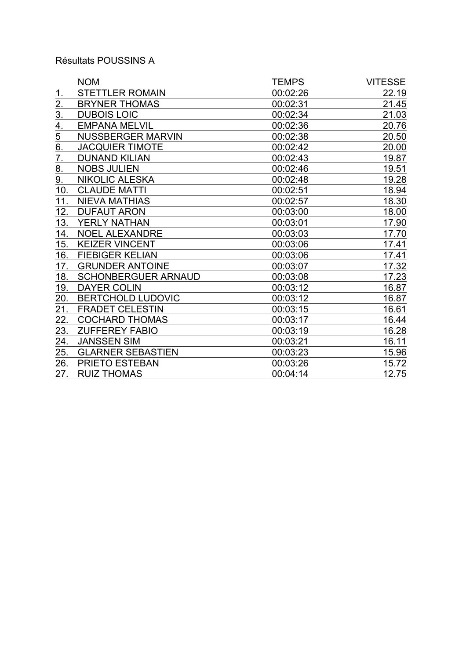## Résultats POUSSINS A

|                  | <b>NOM</b>                 | <b>TEMPS</b> | <b>VITESSE</b> |
|------------------|----------------------------|--------------|----------------|
| 1.               | <b>STETTLER ROMAIN</b>     | 00:02:26     | 22.19          |
| 2.               | <b>BRYNER THOMAS</b>       | 00:02:31     | 21.45          |
| $\overline{3}$ . | <b>DUBOIS LOIC</b>         | 00:02:34     | 21.03          |
| 4.               | <b>EMPANA MELVIL</b>       | 00:02:36     | 20.76          |
| 5                | <b>NUSSBERGER MARVIN</b>   | 00:02:38     | 20.50          |
| 6.               | <b>JACQUIER TIMOTE</b>     | 00:02:42     | 20.00          |
| 7.               | <b>DUNAND KILIAN</b>       | 00:02:43     | 19.87          |
| 8.               | <b>NOBS JULIEN</b>         | 00:02:46     | 19.51          |
| 9.               | <b>NIKOLIC ALESKA</b>      | 00:02:48     | 19.28          |
| 10.              | <b>CLAUDE MATTI</b>        | 00:02:51     | 18.94          |
| 11.              | <b>NIEVA MATHIAS</b>       | 00:02:57     | 18.30          |
| 12.              | <b>DUFAUT ARON</b>         | 00:03:00     | 18.00          |
| 13.              | YERLY NATHAN               | 00:03:01     | 17.90          |
| 14.              | <b>NOEL ALEXANDRE</b>      | 00:03:03     | 17.70          |
| 15.              | <b>KEIZER VINCENT</b>      | 00:03:06     | 17.41          |
| 16.              | <b>FIEBIGER KELIAN</b>     | 00:03:06     | 17.41          |
| 17.              | <b>GRUNDER ANTOINE</b>     | 00:03:07     | 17.32          |
| 18.              | <b>SCHONBERGUER ARNAUD</b> | 00:03:08     | 17.23          |
| 19.              | <b>DAYER COLIN</b>         | 00:03:12     | 16.87          |
| 20.              | <b>BERTCHOLD LUDOVIC</b>   | 00:03:12     | 16.87          |
| 21.              | <b>FRADET CELESTIN</b>     | 00:03:15     | 16.61          |
| <u>22.</u>       | <b>COCHARD THOMAS</b>      | 00:03:17     | 16.44          |
| 23.              | <b>ZUFFEREY FABIO</b>      | 00:03:19     | 16.28          |
| 24.              | <b>JANSSEN SIM</b>         | 00:03:21     | 16.11          |
| 25.              | <b>GLARNER SEBASTIEN</b>   | 00:03:23     | 15.96          |
| 26.              | PRIETO ESTEBAN             | 00:03:26     | 15.72          |
| 27.              | <b>RUIZ THOMAS</b>         | 00:04:14     | 12.75          |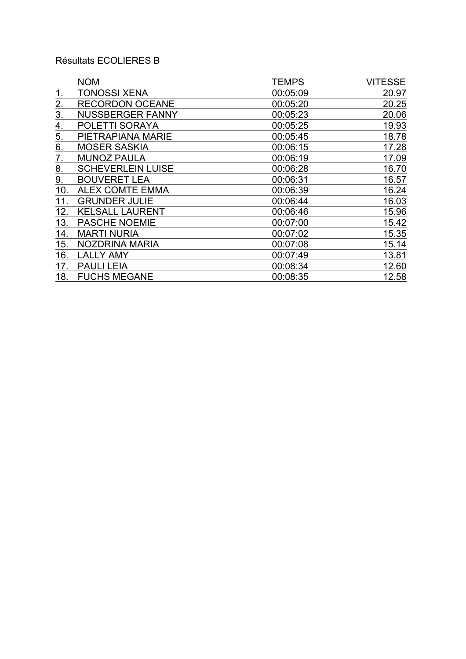# Résultats ECOLIERES B

|                   | <b>NOM</b>               | <b>TEMPS</b> | <b>VITESSE</b> |
|-------------------|--------------------------|--------------|----------------|
| <u>1.</u>         | <b>TONOSSI XENA</b>      | 00:05:09     | 20.97          |
| 2.                | <b>RECORDON OCEANE</b>   | 00:05:20     | 20.25          |
| $\overline{3}$ .  | <b>NUSSBERGER FANNY</b>  | 00:05:23     | 20.06          |
| $\underline{4}$ . | POLETTI SORAYA           | 00:05:25     | 19.93          |
| 5.                | PIETRAPIANA MARIE        | 00:05:45     | 18.78          |
| 6.                | <b>MOSER SASKIA</b>      | 00:06:15     | 17.28          |
| 7.                | <b>MUNOZ PAULA</b>       | 00:06:19     | 17.09          |
| 8.                | <b>SCHEVERLEIN LUISE</b> | 00:06:28     | 16.70          |
| 9.                | <b>BOUVERET LEA</b>      | 00:06:31     | 16.57          |
| 10.               | <b>ALEX COMTE EMMA</b>   | 00:06:39     | 16.24          |
| 11.               | <b>GRUNDER JULIE</b>     | 00:06:44     | 16.03          |
| 12.               | <b>KELSALL LAURENT</b>   | 00:06:46     | 15.96          |
| 13.               | <b>PASCHE NOEMIE</b>     | 00:07:00     | 15.42          |
| 14.               | <b>MARTI NURIA</b>       | 00:07:02     | 15.35          |
| 15.               | NOZDRINA MARIA           | 00:07:08     | 15.14          |
| 16.               | <b>LALLY AMY</b>         | 00:07:49     | 13.81          |
| 17.               | <b>PAULI LEIA</b>        | 00:08:34     | 12.60          |
| 18.               | <b>FUCHS MEGANE</b>      | 00:08:35     | 12.58          |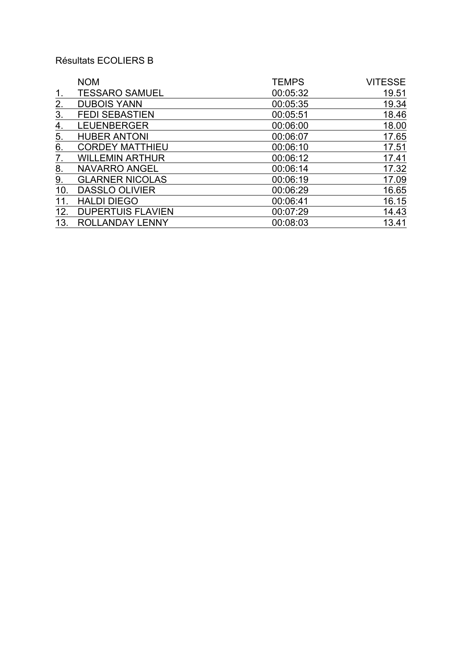# Résultats ECOLIERS B

|     | <b>NOM</b>               | <b>TEMPS</b> | <b>VITESSE</b> |
|-----|--------------------------|--------------|----------------|
| 1.  | <b>TESSARO SAMUEL</b>    | 00:05:32     | 19.51          |
| 2.  | <b>DUBOIS YANN</b>       | 00:05:35     | 19.34          |
| 3.  | <b>FEDI SEBASTIEN</b>    | 00:05:51     | 18.46          |
| 4.  | <b>LEUENBERGER</b>       | 00:06:00     | 18.00          |
| 5.  | <b>HUBER ANTONI</b>      | 00:06:07     | 17.65          |
| 6.  | <b>CORDEY MATTHIEU</b>   | 00:06:10     | 17.51          |
| 7.  | <b>WILLEMIN ARTHUR</b>   | 00:06:12     | 17.41          |
| 8.  | <b>NAVARRO ANGEL</b>     | 00:06:14     | 17.32          |
| 9.  | <b>GLARNER NICOLAS</b>   | 00:06:19     | 17.09          |
| 10. | <b>DASSLO OLIVIER</b>    | 00:06:29     | 16.65          |
| 11. | <b>HALDI DIEGO</b>       | 00:06:41     | 16.15          |
| 12. | <b>DUPERTUIS FLAVIEN</b> | 00:07:29     | 14.43          |
| 13. | ROLLANDAY LENNY          | 00:08:03     | 13.41          |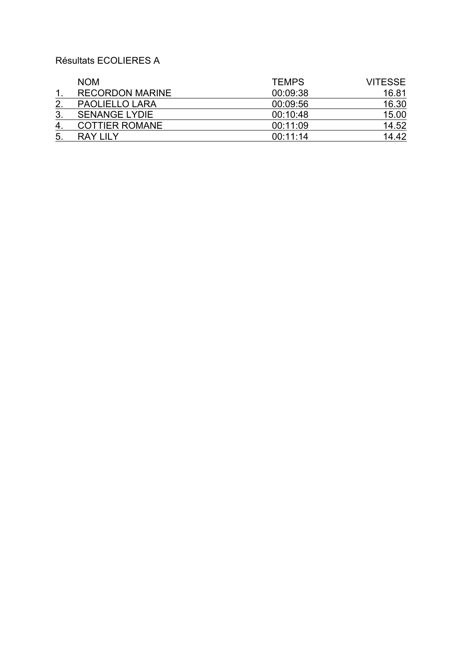# Résultats ECOLIERES A

|              | <b>NOM</b>             | <b>TEMPS</b> | <b>VITESSE</b> |
|--------------|------------------------|--------------|----------------|
|              | <b>RECORDON MARINE</b> | 00:09:38     | 16.81          |
| $\mathbf{2}$ | <b>PAOLIELLO LARA</b>  | 00:09:56     | 16.30          |
| 3.           | <b>SENANGE LYDIE</b>   | 00:10:48     | 15.00          |
| 4.           | COTTIER ROMANE         | 00:11:09     | 14.52          |
| 5.           | RAY I II Y             | 00:11:14     | 14.42          |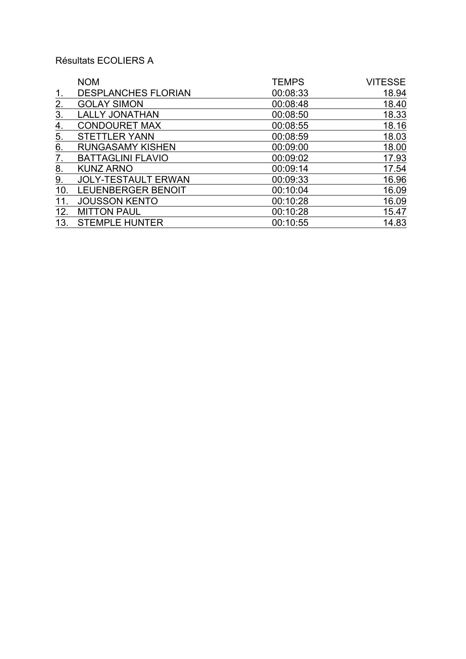# Résultats ECOLIERS A

|                   | <b>NOM</b>                 | <b>TEMPS</b> | <b>VITESSE</b> |
|-------------------|----------------------------|--------------|----------------|
| 1.                | <b>DESPLANCHES FLORIAN</b> | 00:08:33     | 18.94          |
| 2.                | <b>GOLAY SIMON</b>         | 00:08:48     | 18.40          |
| 3.                | <b>LALLY JONATHAN</b>      | 00:08:50     | 18.33          |
| 4.                | <b>CONDOURET MAX</b>       | 00:08:55     | 18.16          |
| $\underline{5}$ . | <b>STETTLER YANN</b>       | 00:08:59     | 18.03          |
| 6.                | <b>RUNGASAMY KISHEN</b>    | 00:09:00     | 18.00          |
| 7.                | <b>BATTAGLINI FLAVIO</b>   | 00:09:02     | 17.93          |
| 8.                | <b>KUNZ ARNO</b>           | 00:09:14     | 17.54          |
| 9.                | <b>JOLY-TESTAULT ERWAN</b> | 00:09:33     | 16.96          |
| 10.               | LEUENBERGER BENOIT         | 00:10:04     | 16.09          |
| 11.               | <b>JOUSSON KENTO</b>       | 00:10:28     | 16.09          |
| 12.               | <b>MITTON PAUL</b>         | 00:10:28     | 15.47          |
| 13.               | <b>STEMPLE HUNTER</b>      | 00:10:55     | 14.83          |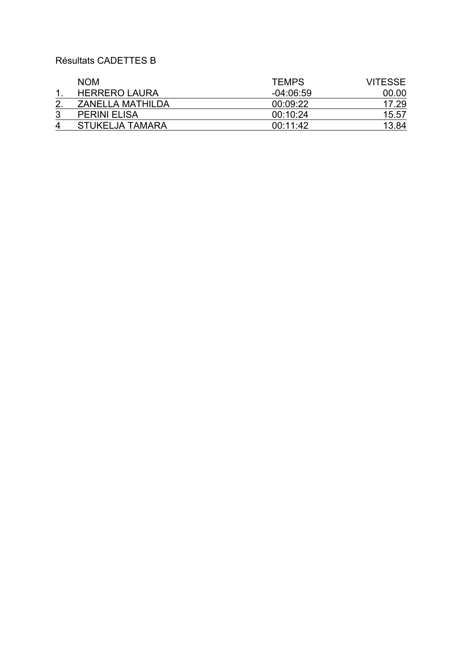## Résultats CADETTES B

|   | <b>NOM</b>           | <b>TEMPS</b> | <b>VITESSE</b> |
|---|----------------------|--------------|----------------|
|   | <b>HERRERO LAURA</b> | $-04:06:59$  | 00.00          |
|   | ZANELLA MATHILDA     | 00:09:22     | 17.29          |
|   | <b>PERINI ELISA</b>  | 00:10:24     | 15.57          |
| Δ | STUKELJA TAMARA      | 00:11:42     | 13.84          |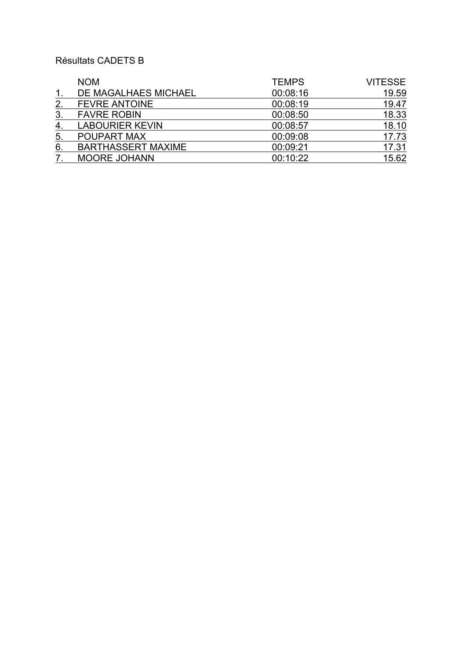## Résultats CADETS B

|               | <b>NOM</b>                | <b>TEMPS</b> | <b>VITESSE</b> |
|---------------|---------------------------|--------------|----------------|
| $\mathbf 1$ . | DE MAGALHAES MICHAEL      | 00:08:16     | 19.59          |
| 2.            | <b>FEVRE ANTOINE</b>      | 00:08:19     | 19.47          |
| 3.            | <b>FAVRE ROBIN</b>        | 00:08:50     | 18.33          |
| 4.            | <b>LABOURIER KEVIN</b>    | 00:08:57     | 18.10          |
| 5.            | POUPART MAX               | 00:09:08     | 17.73          |
| 6.            | <b>BARTHASSERT MAXIME</b> | 00:09:21     | 17.31          |
|               | <b>MOORE JOHANN</b>       | 00:10:22     | 15.62          |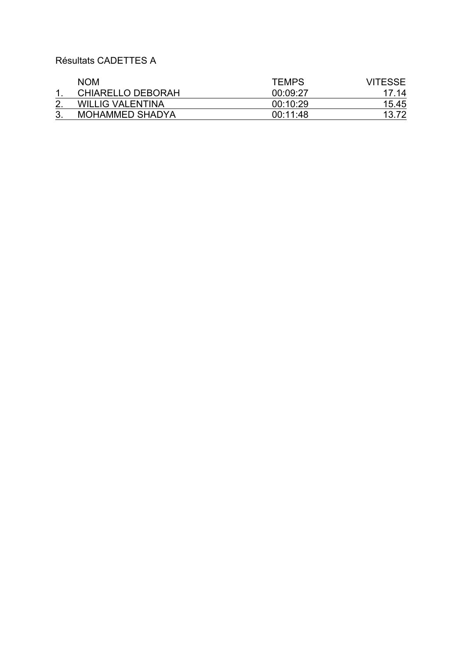Résultats CADETTES A

| <b>NOM</b>               | TEMPS    | <b>VITESSE</b> |
|--------------------------|----------|----------------|
| <b>CHIARELLO DEBORAH</b> | 00:09:27 | 17.14          |
| <b>WILLIG VALENTINA</b>  | 00:10:29 | 15.45          |
| <b>MOHAMMED SHADYA</b>   | 00:11:48 | 13.72          |